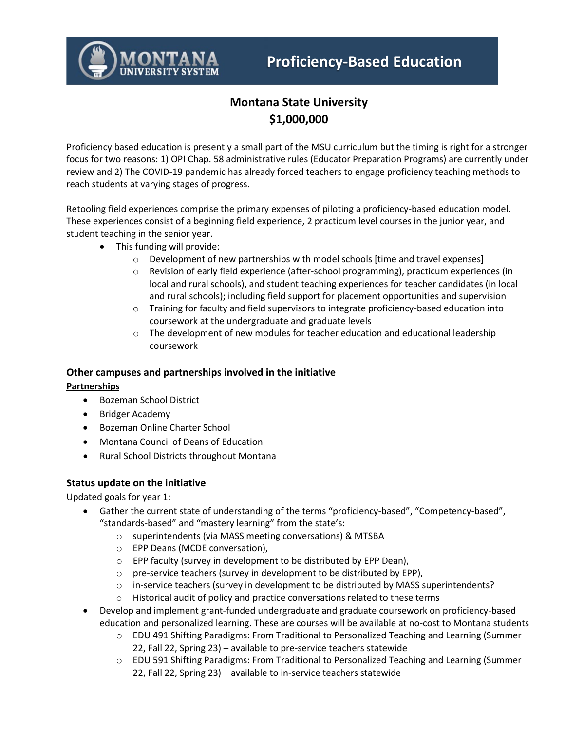# **Montana State University \$1,000,000**

Proficiency based education is presently a small part of the MSU curriculum but the timing is right for a stronger focus for two reasons: 1) OPI Chap. 58 administrative rules (Educator Preparation Programs) are currently under review and 2) The COVID-19 pandemic has already forced teachers to engage proficiency teaching methods to reach students at varying stages of progress.

Retooling field experiences comprise the primary expenses of piloting a proficiency-based education model. These experiences consist of a beginning field experience, 2 practicum level courses in the junior year, and student teaching in the senior year.

- This funding will provide:
	- o Development of new partnerships with model schools [time and travel expenses]
	- o Revision of early field experience (after-school programming), practicum experiences (in local and rural schools), and student teaching experiences for teacher candidates (in local and rural schools); including field support for placement opportunities and supervision
	- o Training for faculty and field supervisors to integrate proficiency-based education into coursework at the undergraduate and graduate levels
	- $\circ$  The development of new modules for teacher education and educational leadership coursework

### **Other campuses and partnerships involved in the initiative**

### **Partnerships**

- Bozeman School District
- Bridger Academy
- Bozeman Online Charter School
- Montana Council of Deans of Education
- Rural School Districts throughout Montana

### **Status update on the initiative**

Updated goals for year 1:

- Gather the current state of understanding of the terms "proficiency-based", "Competency-based", "standards-based" and "mastery learning" from the state's:
	- o superintendents (via MASS meeting conversations) & MTSBA
	- o EPP Deans (MCDE conversation),
	- o EPP faculty (survey in development to be distributed by EPP Dean),
	- o pre-service teachers (survey in development to be distributed by EPP),
	- $\circ$  in-service teachers (survey in development to be distributed by MASS superintendents?
	- $\circ$  Historical audit of policy and practice conversations related to these terms
- Develop and implement grant-funded undergraduate and graduate coursework on proficiency-based education and personalized learning. These are courses will be available at no-cost to Montana students
	- o EDU 491 Shifting Paradigms: From Traditional to Personalized Teaching and Learning (Summer 22, Fall 22, Spring 23) – available to pre-service teachers statewide
	- o EDU 591 Shifting Paradigms: From Traditional to Personalized Teaching and Learning (Summer 22, Fall 22, Spring 23) – available to in-service teachers statewide